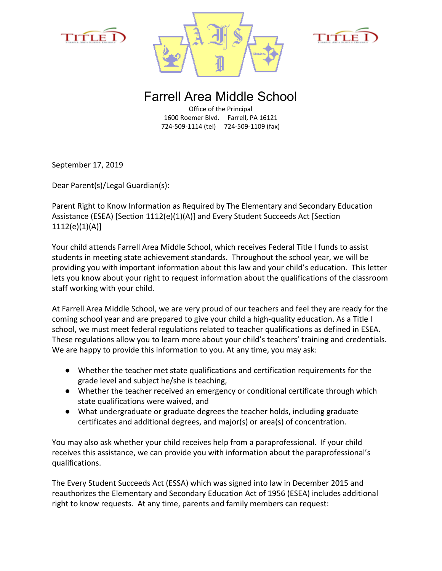





Farrell Area Middle School

Office of the Principal 1600 Roemer Blvd. Farrell, PA 16121 724-509-1114 (tel) 724-509-1109 (fax)

September 17, 2019

Dear Parent(s)/Legal Guardian(s):

Parent Right to Know Information as Required by The Elementary and Secondary Education Assistance (ESEA) [Section 1112(e)(1)(A)] and Every Student Succeeds Act [Section 1112(e)(1)(A)]

Your child attends Farrell Area Middle School, which receives Federal Title I funds to assist students in meeting state achievement standards. Throughout the school year, we will be providing you with important information about this law and your child's education. This letter lets you know about your right to request information about the qualifications of the classroom staff working with your child.

At Farrell Area Middle School, we are very proud of our teachers and feel they are ready for the coming school year and are prepared to give your child a high-quality education. As a Title I school, we must meet federal regulations related to teacher qualifications as defined in ESEA. These regulations allow you to learn more about your child's teachers' training and credentials. We are happy to provide this information to you. At any time, you may ask:

- Whether the teacher met state qualifications and certification requirements for the grade level and subject he/she is teaching,
- Whether the teacher received an emergency or conditional certificate through which state qualifications were waived, and
- What undergraduate or graduate degrees the teacher holds, including graduate certificates and additional degrees, and major(s) or area(s) of concentration.

You may also ask whether your child receives help from a paraprofessional. If your child receives this assistance, we can provide you with information about the paraprofessional's qualifications.

The Every Student Succeeds Act (ESSA) which was signed into law in December 2015 and reauthorizes the Elementary and Secondary Education Act of 1956 (ESEA) includes additional right to know requests. At any time, parents and family members can request: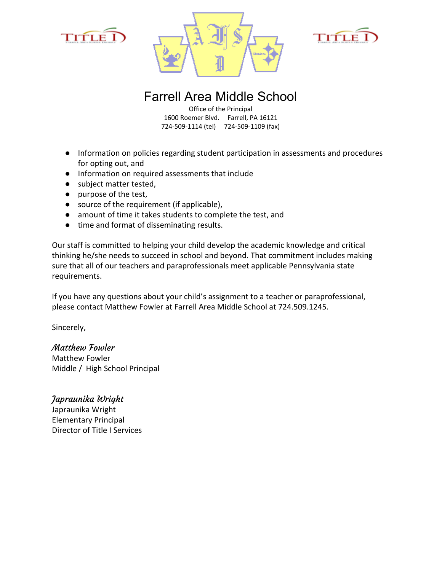





## Farrell Area Middle School

Office of the Principal 1600 Roemer Blvd. Farrell, PA 16121 724-509-1114 (tel) 724-509-1109 (fax)

- Information on policies regarding student participation in assessments and procedures for opting out, and
- Information on required assessments that include
- subject matter tested,
- purpose of the test,
- source of the requirement (if applicable),
- amount of time it takes students to complete the test, and
- time and format of disseminating results.

Our staff is committed to helping your child develop the academic knowledge and critical thinking he/she needs to succeed in school and beyond. That commitment includes making sure that all of our teachers and paraprofessionals meet applicable Pennsylvania state requirements.

If you have any questions about your child's assignment to a teacher or paraprofessional, please contact Matthew Fowler at Farrell Area Middle School at 724.509.1245.

Sincerely,

Matthew Fowler Matthew Fowler Middle / High School Principal

Japraunika Wright Japraunika Wright Elementary Principal Director of Title I Services